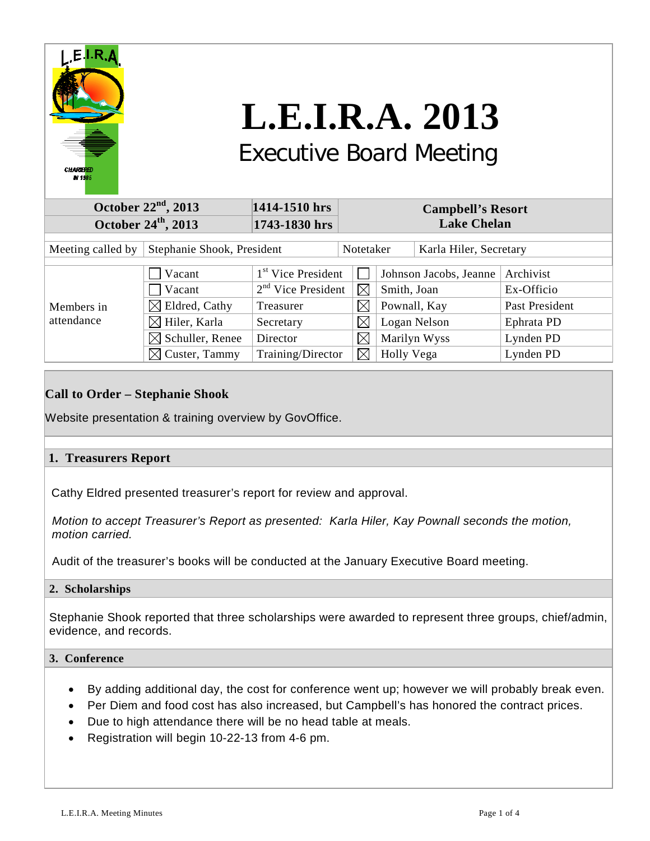

# **L.E.I.R.A. 2013** Executive Board Meeting

# **October 22nd, 2013 1414-1510 hrs Campbell's Resort October 24<sup>th</sup>, 2013 1743-1830 hrs Lake Chelan** Meeting called by Stephanie Shook, President | Notetaker | Karla Hiler, Secretary Members in attendance  $\Box$  Vacant  $1^{st}$  Vice President  $\Box$  Johnson Jacobs, Jeanne Archivist  $\sqrt{2^{nd} \text{ Vice}}$  President  $\sqrt{\frac{8}{3}}$  Smith, Joan Ex-Officio  $\boxtimes$  Eldred, Cathy Treasurer  $\boxtimes$  Pownall, Kay Past President  $\boxtimes$  Hiler, Karla Secretary  $\boxtimes$  Logan Nelson Ephrata PD  $\boxtimes$  Schuller, Renee Director  $\boxtimes$  Marilyn Wyss Lynden PD  $\boxtimes$  Custer, Tammy Training/Director  $\boxtimes$  Holly Vega Lynden PD

## **Call to Order – Stephanie Shook**

Website presentation & training overview by GovOffice.

## **1. Treasurers Report**

Cathy Eldred presented treasurer's report for review and approval.

 *Motion to accept Treasurer's Report as presented: Karla Hiler, Kay Pownall seconds the motion, motion carried.*

Audit of the treasurer's books will be conducted at the January Executive Board meeting.

## **2. Scholarships**

Stephanie Shook reported that three scholarships were awarded to represent three groups, chief/admin, evidence, and records.

## **3. Conference**

- By adding additional day, the cost for conference went up; however we will probably break even.
- Per Diem and food cost has also increased, but Campbell's has honored the contract prices.
- Due to high attendance there will be no head table at meals.
- Registration will begin 10-22-13 from 4-6 pm.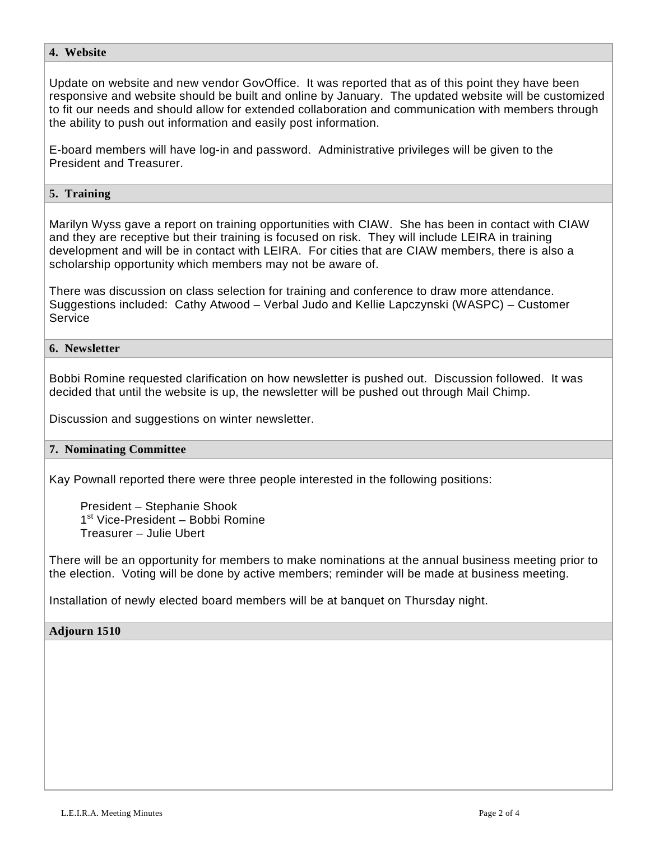## **4. Website**

Update on website and new vendor GovOffice. It was reported that as of this point they have been responsive and website should be built and online by January. The updated website will be customized to fit our needs and should allow for extended collaboration and communication with members through the ability to push out information and easily post information.

E-board members will have log-in and password. Administrative privileges will be given to the President and Treasurer.

## **5. Training**

Marilyn Wyss gave a report on training opportunities with CIAW. She has been in contact with CIAW and they are receptive but their training is focused on risk. They will include LEIRA in training development and will be in contact with LEIRA. For cities that are CIAW members, there is also a scholarship opportunity which members may not be aware of.

There was discussion on class selection for training and conference to draw more attendance. Suggestions included: Cathy Atwood – Verbal Judo and Kellie Lapczynski (WASPC) – Customer Service

## **6. Newsletter**

Bobbi Romine requested clarification on how newsletter is pushed out. Discussion followed. It was decided that until the website is up, the newsletter will be pushed out through Mail Chimp.

Discussion and suggestions on winter newsletter.

#### **7. Nominating Committee**

Kay Pownall reported there were three people interested in the following positions:

 President – Stephanie Shook 1<sup>st</sup> Vice-President – Bobbi Romine Treasurer – Julie Ubert

There will be an opportunity for members to make nominations at the annual business meeting prior to the election. Voting will be done by active members; reminder will be made at business meeting.

Installation of newly elected board members will be at banquet on Thursday night.

## **Adjourn 1510**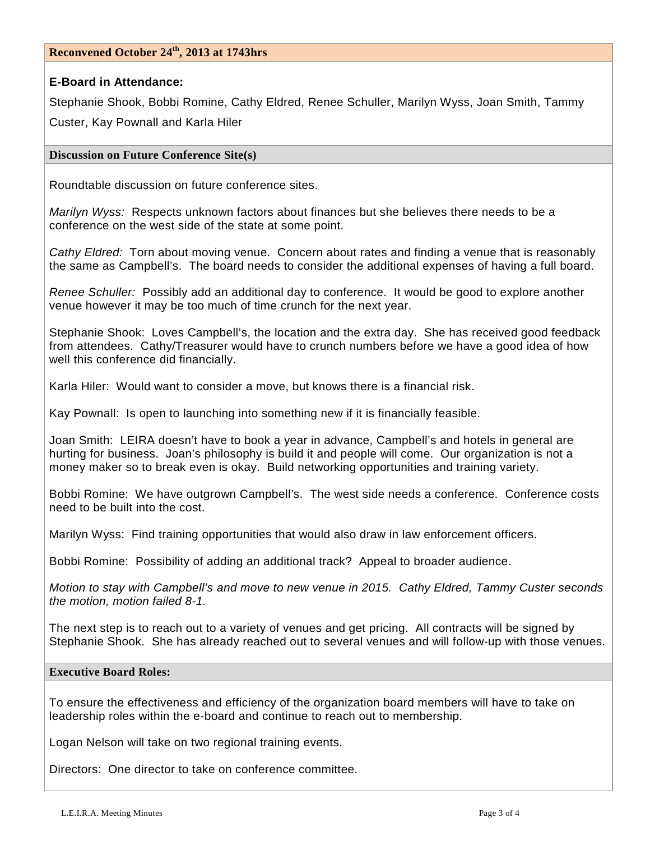## **Reconvened October 24th, 2013 at 1743hrs**

## **E-Board in Attendance:**

Stephanie Shook, Bobbi Romine, Cathy Eldred, Renee Schuller, Marilyn Wyss, Joan Smith, Tammy Custer, Kay Pownall and Karla Hiler

## **Discussion on Future Conference Site(s)**

Roundtable discussion on future conference sites.

*Marilyn Wyss:* Respects unknown factors about finances but she believes there needs to be a conference on the west side of the state at some point.

*Cathy Eldred:* Torn about moving venue. Concern about rates and finding a venue that is reasonably the same as Campbell's. The board needs to consider the additional expenses of having a full board.

*Renee Schuller:* Possibly add an additional day to conference. It would be good to explore another venue however it may be too much of time crunch for the next year.

Stephanie Shook: Loves Campbell's, the location and the extra day. She has received good feedback from attendees. Cathy/Treasurer would have to crunch numbers before we have a good idea of how well this conference did financially.

Karla Hiler: Would want to consider a move, but knows there is a financial risk.

Kay Pownall: Is open to launching into something new if it is financially feasible.

Joan Smith: LEIRA doesn't have to book a year in advance, Campbell's and hotels in general are hurting for business. Joan's philosophy is build it and people will come. Our organization is not a money maker so to break even is okay. Build networking opportunities and training variety.

Bobbi Romine: We have outgrown Campbell's. The west side needs a conference. Conference costs need to be built into the cost.

Marilyn Wyss: Find training opportunities that would also draw in law enforcement officers.

Bobbi Romine: Possibility of adding an additional track? Appeal to broader audience.

*Motion to stay with Campbell's and move to new venue in 2015. Cathy Eldred, Tammy Custer seconds the motion, motion failed 8-1.* 

The next step is to reach out to a variety of venues and get pricing. All contracts will be signed by Stephanie Shook. She has already reached out to several venues and will follow-up with those venues.

### **Executive Board Roles:**

To ensure the effectiveness and efficiency of the organization board members will have to take on leadership roles within the e-board and continue to reach out to membership.

Logan Nelson will take on two regional training events.

Directors: One director to take on conference committee.